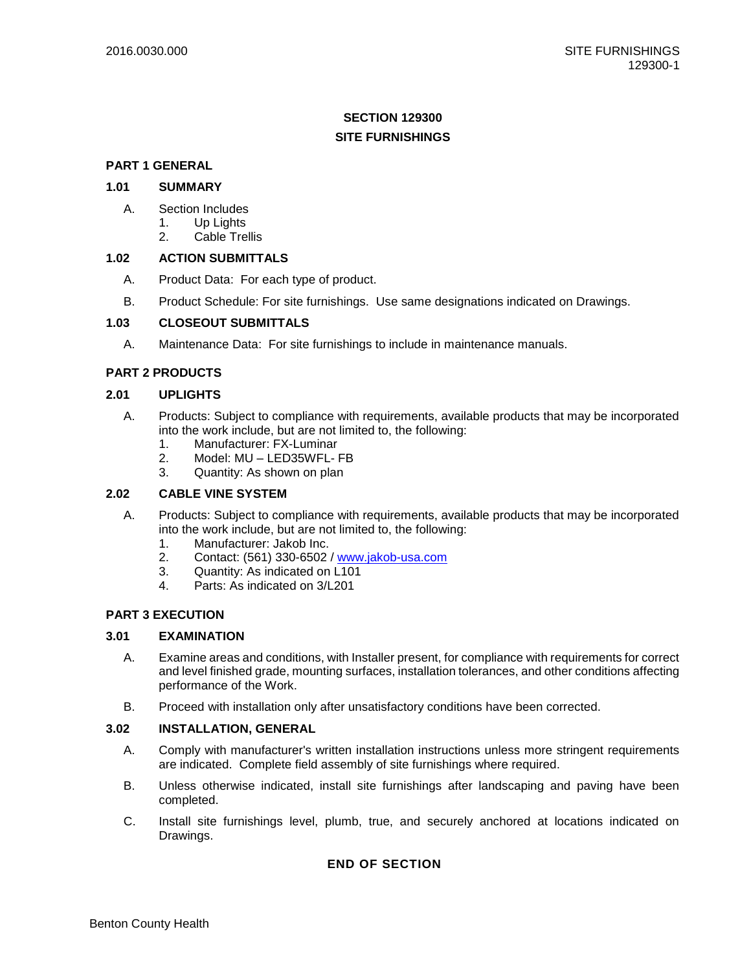# **SECTION 129300 SITE FURNISHINGS**

# **PART 1 GENERAL**

## **1.01 SUMMARY**

- A. Section Includes
	- 1. Up Lights
	- 2. Cable Trellis

### **1.02 ACTION SUBMITTALS**

- A. Product Data: For each type of product.
- B. Product Schedule: For site furnishings. Use same designations indicated on Drawings.

### **1.03 CLOSEOUT SUBMITTALS**

A. Maintenance Data: For site furnishings to include in maintenance manuals.

### **PART 2 PRODUCTS**

### **2.01 UPLIGHTS**

- A. Products: Subject to compliance with requirements, available products that may be incorporated into the work include, but are not limited to, the following:
	- 1. Manufacturer: FX-Luminar
	- 2. Model: MU LED35WFL- FB
	- 3. Quantity: As shown on plan

### **2.02 CABLE VINE SYSTEM**

- A. Products: Subject to compliance with requirements, available products that may be incorporated into the work include, but are not limited to, the following:
	- 1. Manufacturer: Jakob Inc.
	- 2. Contact: (561) 330-6502 / [www.jakob-usa.com](http://www.jakob-usa.com/)
	- 3. Quantity: As indicated on L101
	- 4. Parts: As indicated on 3/L201

### **PART 3 EXECUTION**

### **3.01 EXAMINATION**

- A. Examine areas and conditions, with Installer present, for compliance with requirements for correct and level finished grade, mounting surfaces, installation tolerances, and other conditions affecting performance of the Work.
- B. Proceed with installation only after unsatisfactory conditions have been corrected.

### **3.02 INSTALLATION, GENERAL**

- A. Comply with manufacturer's written installation instructions unless more stringent requirements are indicated. Complete field assembly of site furnishings where required.
- B. Unless otherwise indicated, install site furnishings after landscaping and paving have been completed.
- C. Install site furnishings level, plumb, true, and securely anchored at locations indicated on Drawings.

# **END OF SECTION**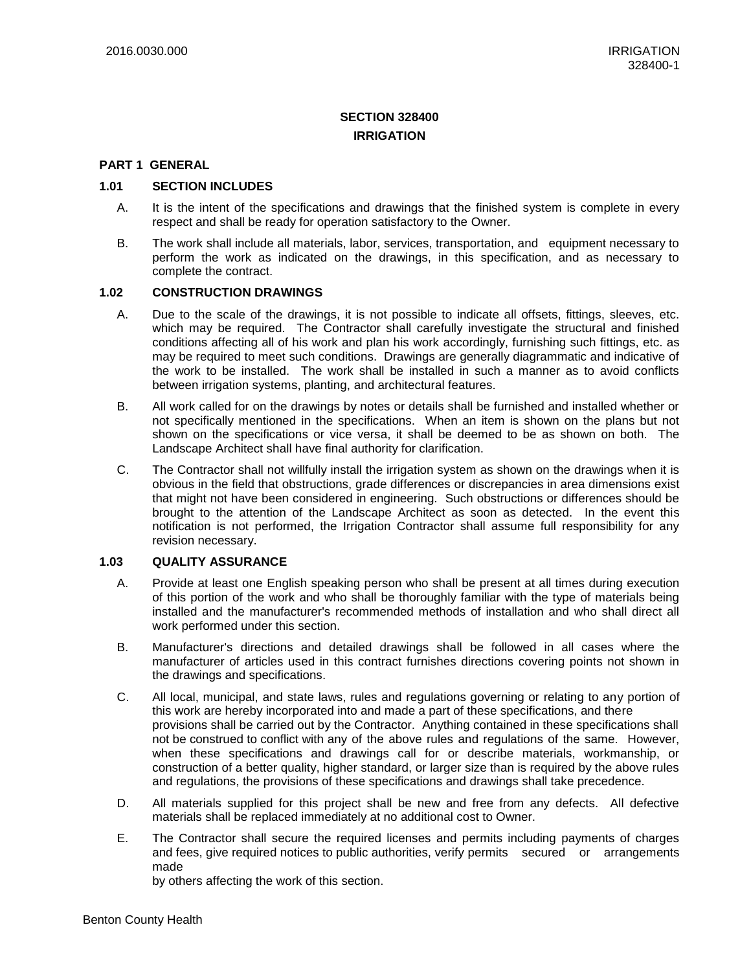# **SECTION 328400 IRRIGATION**

### **PART 1 GENERAL**

### **1.01 SECTION INCLUDES**

- A. It is the intent of the specifications and drawings that the finished system is complete in every respect and shall be ready for operation satisfactory to the Owner.
- B. The work shall include all materials, labor, services, transportation, and equipment necessary to perform the work as indicated on the drawings, in this specification, and as necessary to complete the contract.

### **1.02 CONSTRUCTION DRAWINGS**

- A. Due to the scale of the drawings, it is not possible to indicate all offsets, fittings, sleeves, etc. which may be required. The Contractor shall carefully investigate the structural and finished conditions affecting all of his work and plan his work accordingly, furnishing such fittings, etc. as may be required to meet such conditions. Drawings are generally diagrammatic and indicative of the work to be installed. The work shall be installed in such a manner as to avoid conflicts between irrigation systems, planting, and architectural features.
- B. All work called for on the drawings by notes or details shall be furnished and installed whether or not specifically mentioned in the specifications. When an item is shown on the plans but not shown on the specifications or vice versa, it shall be deemed to be as shown on both. The Landscape Architect shall have final authority for clarification.
- C. The Contractor shall not willfully install the irrigation system as shown on the drawings when it is obvious in the field that obstructions, grade differences or discrepancies in area dimensions exist that might not have been considered in engineering. Such obstructions or differences should be brought to the attention of the Landscape Architect as soon as detected. In the event this notification is not performed, the Irrigation Contractor shall assume full responsibility for any revision necessary.

### **1.03 QUALITY ASSURANCE**

- A. Provide at least one English speaking person who shall be present at all times during execution of this portion of the work and who shall be thoroughly familiar with the type of materials being installed and the manufacturer's recommended methods of installation and who shall direct all work performed under this section.
- B. Manufacturer's directions and detailed drawings shall be followed in all cases where the manufacturer of articles used in this contract furnishes directions covering points not shown in the drawings and specifications.
- C. All local, municipal, and state laws, rules and regulations governing or relating to any portion of this work are hereby incorporated into and made a part of these specifications, and there provisions shall be carried out by the Contractor. Anything contained in these specifications shall not be construed to conflict with any of the above rules and regulations of the same. However, when these specifications and drawings call for or describe materials, workmanship, or construction of a better quality, higher standard, or larger size than is required by the above rules and regulations, the provisions of these specifications and drawings shall take precedence.
- D. All materials supplied for this project shall be new and free from any defects. All defective materials shall be replaced immediately at no additional cost to Owner.
- E. The Contractor shall secure the required licenses and permits including payments of charges and fees, give required notices to public authorities, verify permits secured or arrangements made

by others affecting the work of this section.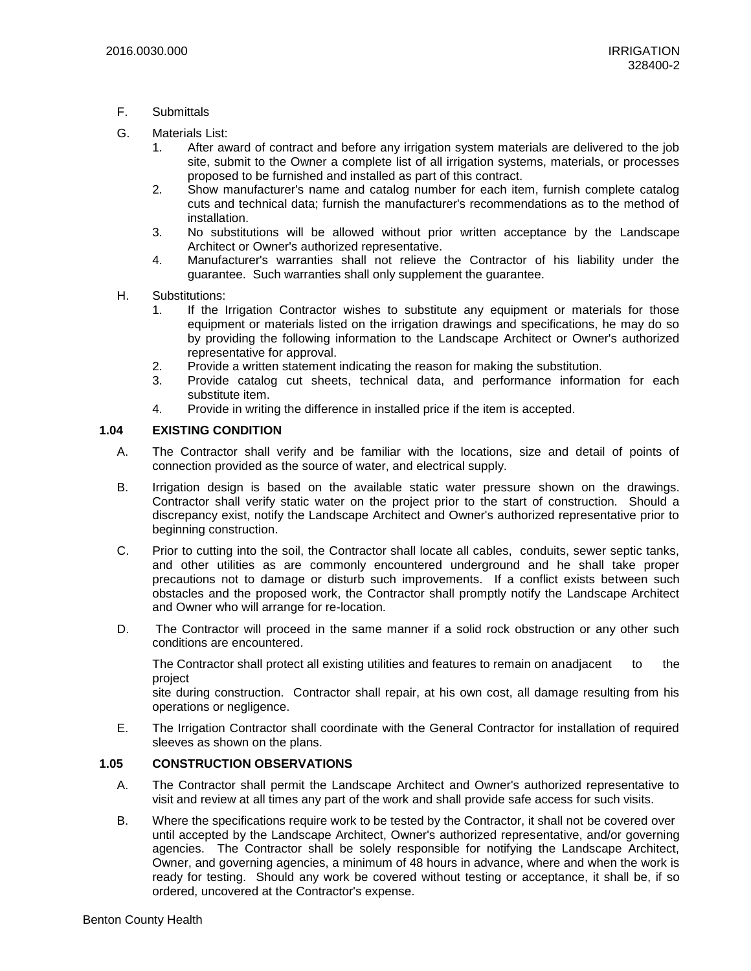- F. Submittals
- G. Materials List:
	- 1. After award of contract and before any irrigation system materials are delivered to the job site, submit to the Owner a complete list of all irrigation systems, materials, or processes proposed to be furnished and installed as part of this contract.
	- 2. Show manufacturer's name and catalog number for each item, furnish complete catalog cuts and technical data; furnish the manufacturer's recommendations as to the method of installation.
	- 3. No substitutions will be allowed without prior written acceptance by the Landscape Architect or Owner's authorized representative.
	- 4. Manufacturer's warranties shall not relieve the Contractor of his liability under the guarantee. Such warranties shall only supplement the guarantee.
- H. Substitutions:
	- 1. If the Irrigation Contractor wishes to substitute any equipment or materials for those equipment or materials listed on the irrigation drawings and specifications, he may do so by providing the following information to the Landscape Architect or Owner's authorized representative for approval.
	- 2. Provide a written statement indicating the reason for making the substitution.
	- 3. Provide catalog cut sheets, technical data, and performance information for each substitute item.
	- 4. Provide in writing the difference in installed price if the item is accepted.

### **1.04 EXISTING CONDITION**

- A. The Contractor shall verify and be familiar with the locations, size and detail of points of connection provided as the source of water, and electrical supply.
- B. Irrigation design is based on the available static water pressure shown on the drawings. Contractor shall verify static water on the project prior to the start of construction. Should a discrepancy exist, notify the Landscape Architect and Owner's authorized representative prior to beginning construction.
- C. Prior to cutting into the soil, the Contractor shall locate all cables, conduits, sewer septic tanks, and other utilities as are commonly encountered underground and he shall take proper precautions not to damage or disturb such improvements. If a conflict exists between such obstacles and the proposed work, the Contractor shall promptly notify the Landscape Architect and Owner who will arrange for re-location.
- D. The Contractor will proceed in the same manner if a solid rock obstruction or any other such conditions are encountered.

The Contractor shall protect all existing utilities and features to remain on anadjacent to the project

site during construction. Contractor shall repair, at his own cost, all damage resulting from his operations or negligence.

E. The Irrigation Contractor shall coordinate with the General Contractor for installation of required sleeves as shown on the plans.

### **1.05 CONSTRUCTION OBSERVATIONS**

- A. The Contractor shall permit the Landscape Architect and Owner's authorized representative to visit and review at all times any part of the work and shall provide safe access for such visits.
- B. Where the specifications require work to be tested by the Contractor, it shall not be covered over until accepted by the Landscape Architect, Owner's authorized representative, and/or governing agencies. The Contractor shall be solely responsible for notifying the Landscape Architect, Owner, and governing agencies, a minimum of 48 hours in advance, where and when the work is ready for testing. Should any work be covered without testing or acceptance, it shall be, if so ordered, uncovered at the Contractor's expense.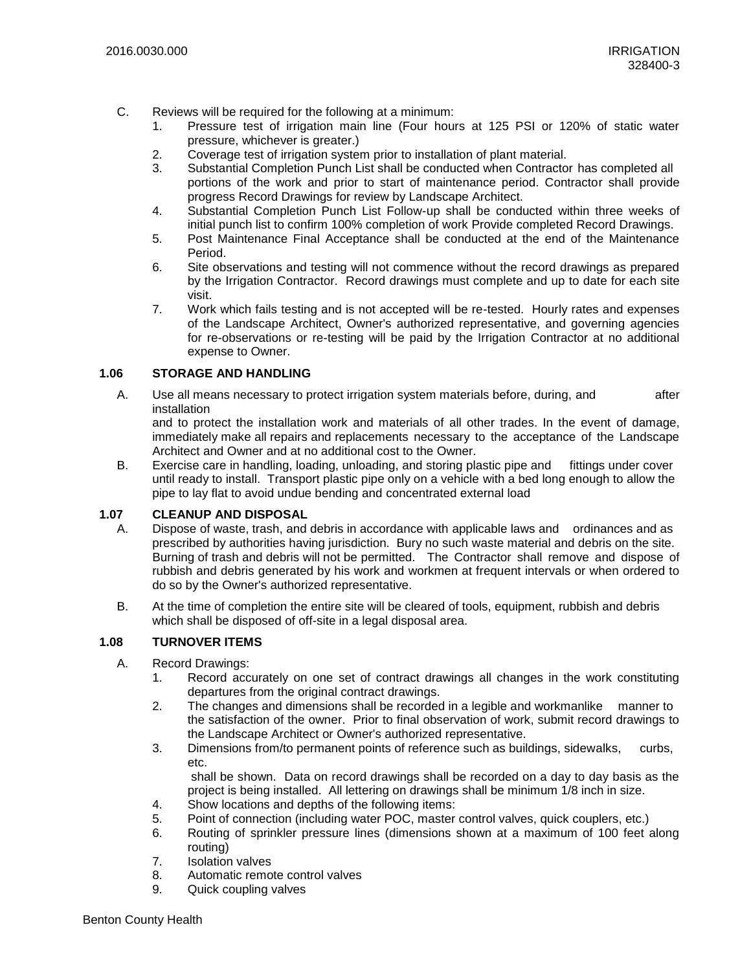- C. Reviews will be required for the following at a minimum:
	- 1. Pressure test of irrigation main line (Four hours at 125 PSI or 120% of static water pressure, whichever is greater.)
	- 2. Coverage test of irrigation system prior to installation of plant material.
	- 3. Substantial Completion Punch List shall be conducted when Contractor has completed all portions of the work and prior to start of maintenance period. Contractor shall provide progress Record Drawings for review by Landscape Architect.
	- 4. Substantial Completion Punch List Follow-up shall be conducted within three weeks of initial punch list to confirm 100% completion of work Provide completed Record Drawings.
	- 5. Post Maintenance Final Acceptance shall be conducted at the end of the Maintenance Period.
	- 6. Site observations and testing will not commence without the record drawings as prepared by the Irrigation Contractor. Record drawings must complete and up to date for each site visit.
	- 7. Work which fails testing and is not accepted will be re-tested. Hourly rates and expenses of the Landscape Architect, Owner's authorized representative, and governing agencies for re-observations or re-testing will be paid by the Irrigation Contractor at no additional expense to Owner.

### **1.06 STORAGE AND HANDLING**

A. Use all means necessary to protect irrigation system materials before, during, and after installation

and to protect the installation work and materials of all other trades. In the event of damage, immediately make all repairs and replacements necessary to the acceptance of the Landscape Architect and Owner and at no additional cost to the Owner.

B. Exercise care in handling, loading, unloading, and storing plastic pipe and fittings under cover until ready to install. Transport plastic pipe only on a vehicle with a bed long enough to allow the pipe to lay flat to avoid undue bending and concentrated external load

### **1.07 CLEANUP AND DISPOSAL**

- A. Dispose of waste, trash, and debris in accordance with applicable laws and ordinances and as prescribed by authorities having jurisdiction. Bury no such waste material and debris on the site. Burning of trash and debris will not be permitted. The Contractor shall remove and dispose of rubbish and debris generated by his work and workmen at frequent intervals or when ordered to do so by the Owner's authorized representative.
- B. At the time of completion the entire site will be cleared of tools, equipment, rubbish and debris which shall be disposed of off-site in a legal disposal area.

# **1.08 TURNOVER ITEMS**

- A. Record Drawings:
	- 1. Record accurately on one set of contract drawings all changes in the work constituting departures from the original contract drawings.
	- 2. The changes and dimensions shall be recorded in a legible and workmanlike manner to the satisfaction of the owner. Prior to final observation of work, submit record drawings to the Landscape Architect or Owner's authorized representative.
	- 3. Dimensions from/to permanent points of reference such as buildings, sidewalks, curbs, etc.

shall be shown. Data on record drawings shall be recorded on a day to day basis as the project is being installed. All lettering on drawings shall be minimum 1/8 inch in size.

- 4. Show locations and depths of the following items:
- 5. Point of connection (including water POC, master control valves, quick couplers, etc.)
- 6. Routing of sprinkler pressure lines (dimensions shown at a maximum of 100 feet along routing)
- 7. Isolation valves
- 8. Automatic remote control valves
- 9. Quick coupling valves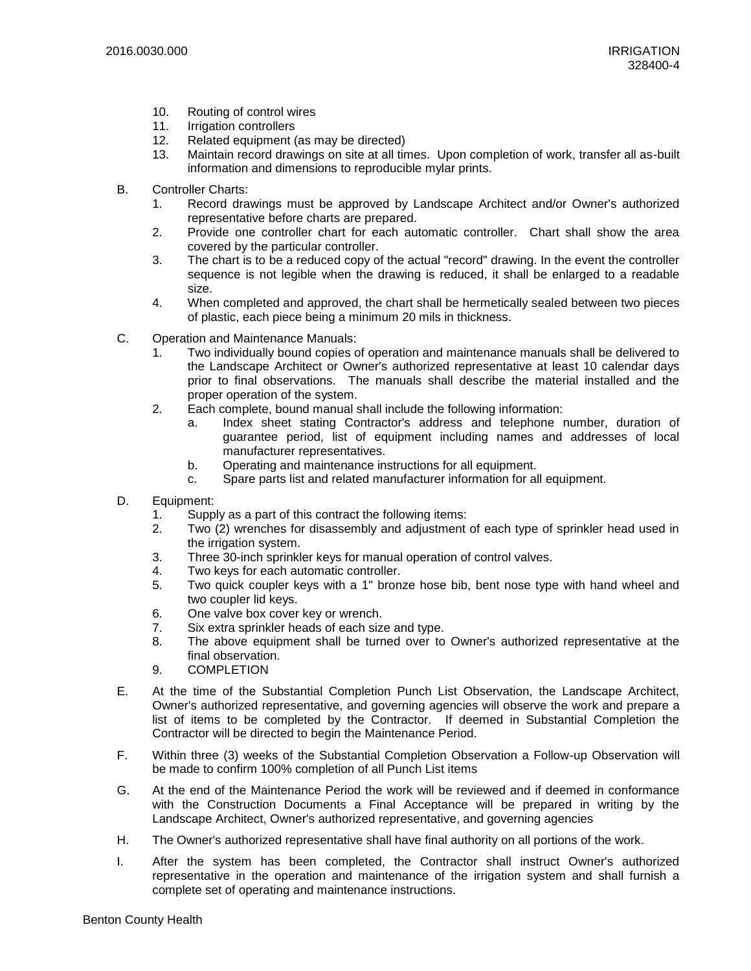- 10. Routing of control wires
- 11. Irrigation controllers
- 12. Related equipment (as may be directed)
- 13. Maintain record drawings on site at all times. Upon completion of work, transfer all as-built information and dimensions to reproducible mylar prints.
- B. Controller Charts:
	- 1. Record drawings must be approved by Landscape Architect and/or Owner's authorized representative before charts are prepared.
	- 2. Provide one controller chart for each automatic controller. Chart shall show the area covered by the particular controller.
	- 3. The chart is to be a reduced copy of the actual "record" drawing. In the event the controller sequence is not legible when the drawing is reduced, it shall be enlarged to a readable size.
	- 4. When completed and approved, the chart shall be hermetically sealed between two pieces of plastic, each piece being a minimum 20 mils in thickness.
- C. Operation and Maintenance Manuals:
	- 1. Two individually bound copies of operation and maintenance manuals shall be delivered to the Landscape Architect or Owner's authorized representative at least 10 calendar days prior to final observations. The manuals shall describe the material installed and the proper operation of the system.
	- 2. Each complete, bound manual shall include the following information:
		- a. Index sheet stating Contractor's address and telephone number, duration of guarantee period, list of equipment including names and addresses of local manufacturer representatives.
		- b. Operating and maintenance instructions for all equipment.
		- c. Spare parts list and related manufacturer information for all equipment.
- D. Equipment:
	- 1. Supply as a part of this contract the following items:
	- 2. Two (2) wrenches for disassembly and adjustment of each type of sprinkler head used in the irrigation system.
	- 3. Three 30-inch sprinkler keys for manual operation of control valves.
	- 4. Two keys for each automatic controller.
	- 5. Two quick coupler keys with a 1" bronze hose bib, bent nose type with hand wheel and two coupler lid keys.
	- 6. One valve box cover key or wrench.
	- 7. Six extra sprinkler heads of each size and type.
	- 8. The above equipment shall be turned over to Owner's authorized representative at the final observation.
	- 9. COMPLETION
- E. At the time of the Substantial Completion Punch List Observation, the Landscape Architect, Owner's authorized representative, and governing agencies will observe the work and prepare a list of items to be completed by the Contractor. If deemed in Substantial Completion the Contractor will be directed to begin the Maintenance Period.
- F. Within three (3) weeks of the Substantial Completion Observation a Follow-up Observation will be made to confirm 100% completion of all Punch List items
- G. At the end of the Maintenance Period the work will be reviewed and if deemed in conformance with the Construction Documents a Final Acceptance will be prepared in writing by the Landscape Architect, Owner's authorized representative, and governing agencies
- H. The Owner's authorized representative shall have final authority on all portions of the work.
- I. After the system has been completed, the Contractor shall instruct Owner's authorized representative in the operation and maintenance of the irrigation system and shall furnish a complete set of operating and maintenance instructions.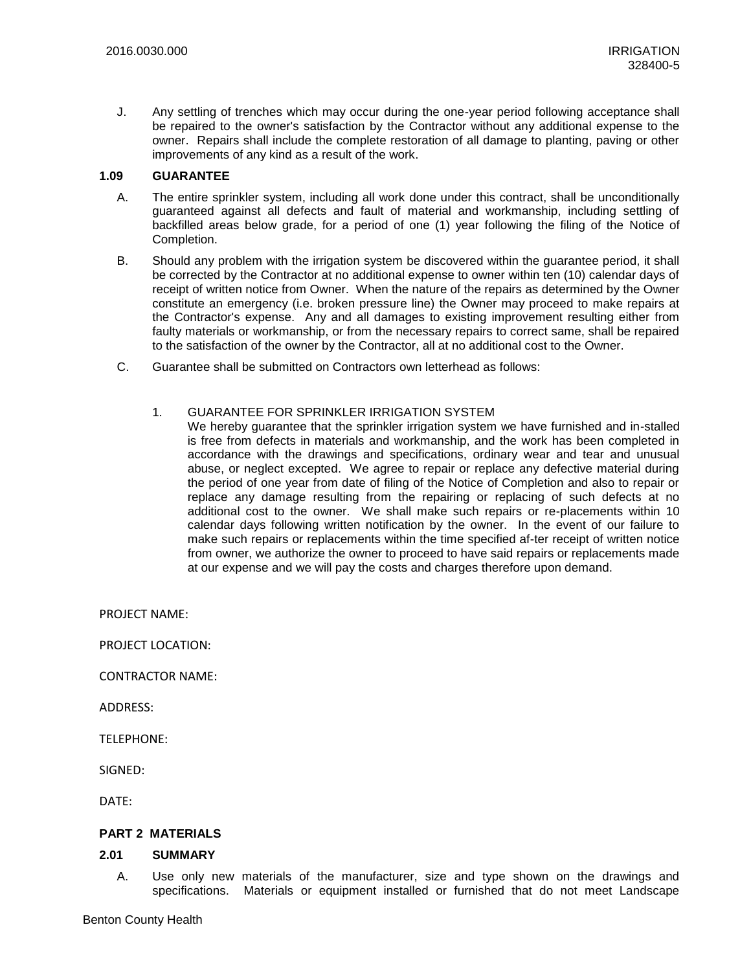J. Any settling of trenches which may occur during the one-year period following acceptance shall be repaired to the owner's satisfaction by the Contractor without any additional expense to the owner. Repairs shall include the complete restoration of all damage to planting, paving or other improvements of any kind as a result of the work.

#### **1.09 GUARANTEE**

- A. The entire sprinkler system, including all work done under this contract, shall be unconditionally guaranteed against all defects and fault of material and workmanship, including settling of backfilled areas below grade, for a period of one (1) year following the filing of the Notice of Completion.
- B. Should any problem with the irrigation system be discovered within the guarantee period, it shall be corrected by the Contractor at no additional expense to owner within ten (10) calendar days of receipt of written notice from Owner. When the nature of the repairs as determined by the Owner constitute an emergency (i.e. broken pressure line) the Owner may proceed to make repairs at the Contractor's expense. Any and all damages to existing improvement resulting either from faulty materials or workmanship, or from the necessary repairs to correct same, shall be repaired to the satisfaction of the owner by the Contractor, all at no additional cost to the Owner.
- C. Guarantee shall be submitted on Contractors own letterhead as follows:
	- 1. GUARANTEE FOR SPRINKLER IRRIGATION SYSTEM
		- We hereby guarantee that the sprinkler irrigation system we have furnished and in-stalled is free from defects in materials and workmanship, and the work has been completed in accordance with the drawings and specifications, ordinary wear and tear and unusual abuse, or neglect excepted. We agree to repair or replace any defective material during the period of one year from date of filing of the Notice of Completion and also to repair or replace any damage resulting from the repairing or replacing of such defects at no additional cost to the owner. We shall make such repairs or re-placements within 10 calendar days following written notification by the owner. In the event of our failure to make such repairs or replacements within the time specified af-ter receipt of written notice from owner, we authorize the owner to proceed to have said repairs or replacements made at our expense and we will pay the costs and charges therefore upon demand.

PROJECT NAME:

PROJECT LOCATION:

CONTRACTOR NAME:

ADDRESS:

TELEPHONE:

SIGNED:

DATE:

### **PART 2 MATERIALS**

#### **2.01 SUMMARY**

A. Use only new materials of the manufacturer, size and type shown on the drawings and specifications. Materials or equipment installed or furnished that do not meet Landscape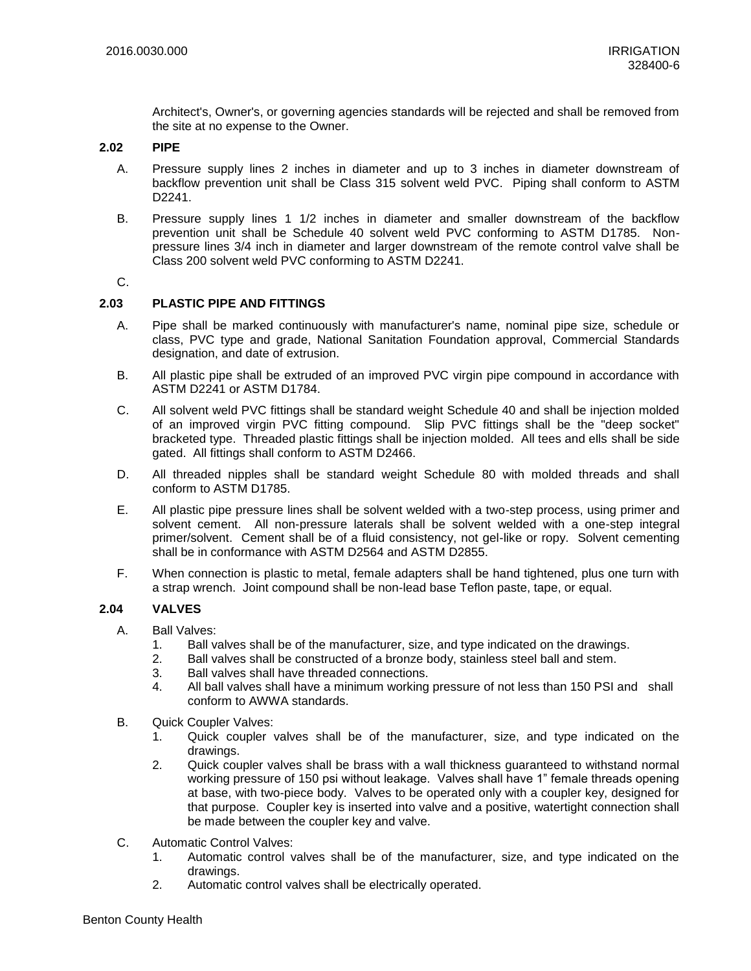Architect's, Owner's, or governing agencies standards will be rejected and shall be removed from the site at no expense to the Owner.

#### **2.02 PIPE**

- A. Pressure supply lines 2 inches in diameter and up to 3 inches in diameter downstream of backflow prevention unit shall be Class 315 solvent weld PVC. Piping shall conform to ASTM D2241.
- B. Pressure supply lines 1 1/2 inches in diameter and smaller downstream of the backflow prevention unit shall be Schedule 40 solvent weld PVC conforming to ASTM D1785. Nonpressure lines 3/4 inch in diameter and larger downstream of the remote control valve shall be Class 200 solvent weld PVC conforming to ASTM D2241.

### C.

### **2.03 PLASTIC PIPE AND FITTINGS**

- A. Pipe shall be marked continuously with manufacturer's name, nominal pipe size, schedule or class, PVC type and grade, National Sanitation Foundation approval, Commercial Standards designation, and date of extrusion.
- B. All plastic pipe shall be extruded of an improved PVC virgin pipe compound in accordance with ASTM D2241 or ASTM D1784.
- C. All solvent weld PVC fittings shall be standard weight Schedule 40 and shall be injection molded of an improved virgin PVC fitting compound. Slip PVC fittings shall be the "deep socket" bracketed type. Threaded plastic fittings shall be injection molded. All tees and ells shall be side gated. All fittings shall conform to ASTM D2466.
- D. All threaded nipples shall be standard weight Schedule 80 with molded threads and shall conform to ASTM D1785.
- E. All plastic pipe pressure lines shall be solvent welded with a two-step process, using primer and solvent cement. All non-pressure laterals shall be solvent welded with a one-step integral primer/solvent. Cement shall be of a fluid consistency, not gel-like or ropy. Solvent cementing shall be in conformance with ASTM D2564 and ASTM D2855.
- F. When connection is plastic to metal, female adapters shall be hand tightened, plus one turn with a strap wrench. Joint compound shall be non-lead base Teflon paste, tape, or equal.

### **2.04 VALVES**

- A. Ball Valves:
	- 1. Ball valves shall be of the manufacturer, size, and type indicated on the drawings.
	- 2. Ball valves shall be constructed of a bronze body, stainless steel ball and stem.
	- 3. Ball valves shall have threaded connections.
	- 4. All ball valves shall have a minimum working pressure of not less than 150 PSI and shall conform to AWWA standards.
- B. Quick Coupler Valves:
	- 1. Quick coupler valves shall be of the manufacturer, size, and type indicated on the drawings.
	- 2. Quick coupler valves shall be brass with a wall thickness guaranteed to withstand normal working pressure of 150 psi without leakage. Valves shall have 1" female threads opening at base, with two-piece body. Valves to be operated only with a coupler key, designed for that purpose. Coupler key is inserted into valve and a positive, watertight connection shall be made between the coupler key and valve.
- C. Automatic Control Valves:
	- 1. Automatic control valves shall be of the manufacturer, size, and type indicated on the drawings.
	- 2. Automatic control valves shall be electrically operated.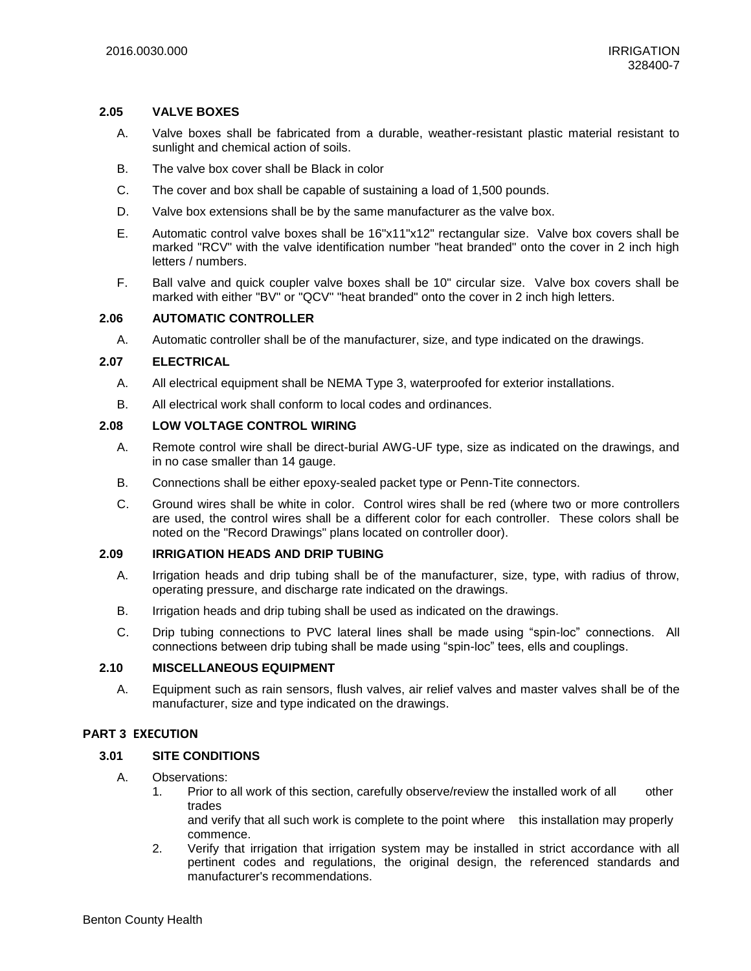### **2.05 VALVE BOXES**

- A. Valve boxes shall be fabricated from a durable, weather-resistant plastic material resistant to sunlight and chemical action of soils.
- B. The valve box cover shall be Black in color
- C. The cover and box shall be capable of sustaining a load of 1,500 pounds.
- D. Valve box extensions shall be by the same manufacturer as the valve box.
- E. Automatic control valve boxes shall be 16"x11"x12" rectangular size. Valve box covers shall be marked "RCV" with the valve identification number "heat branded" onto the cover in 2 inch high letters / numbers.
- F. Ball valve and quick coupler valve boxes shall be 10" circular size. Valve box covers shall be marked with either "BV" or "QCV" "heat branded" onto the cover in 2 inch high letters.

### **2.06 AUTOMATIC CONTROLLER**

A. Automatic controller shall be of the manufacturer, size, and type indicated on the drawings.

#### **2.07 ELECTRICAL**

- A. All electrical equipment shall be NEMA Type 3, waterproofed for exterior installations.
- B. All electrical work shall conform to local codes and ordinances.

### **2.08 LOW VOLTAGE CONTROL WIRING**

- A. Remote control wire shall be direct-burial AWG-UF type, size as indicated on the drawings, and in no case smaller than 14 gauge.
- B. Connections shall be either epoxy-sealed packet type or Penn-Tite connectors.
- C. Ground wires shall be white in color. Control wires shall be red (where two or more controllers are used, the control wires shall be a different color for each controller. These colors shall be noted on the "Record Drawings" plans located on controller door).

### **2.09 IRRIGATION HEADS AND DRIP TUBING**

- A. Irrigation heads and drip tubing shall be of the manufacturer, size, type, with radius of throw, operating pressure, and discharge rate indicated on the drawings.
- B. Irrigation heads and drip tubing shall be used as indicated on the drawings.
- C. Drip tubing connections to PVC lateral lines shall be made using "spin-loc" connections. All connections between drip tubing shall be made using "spin-loc" tees, ells and couplings.

### **2.10 MISCELLANEOUS EQUIPMENT**

A. Equipment such as rain sensors, flush valves, air relief valves and master valves shall be of the manufacturer, size and type indicated on the drawings.

### **PART 3 EXECUTION**

## **3.01 SITE CONDITIONS**

- A. Observations:
	- 1. Prior to all work of this section, carefully observe/review the installed work of all other trades

and verify that all such work is complete to the point where this installation may properly commence.

2. Verify that irrigation that irrigation system may be installed in strict accordance with all pertinent codes and regulations, the original design, the referenced standards and manufacturer's recommendations.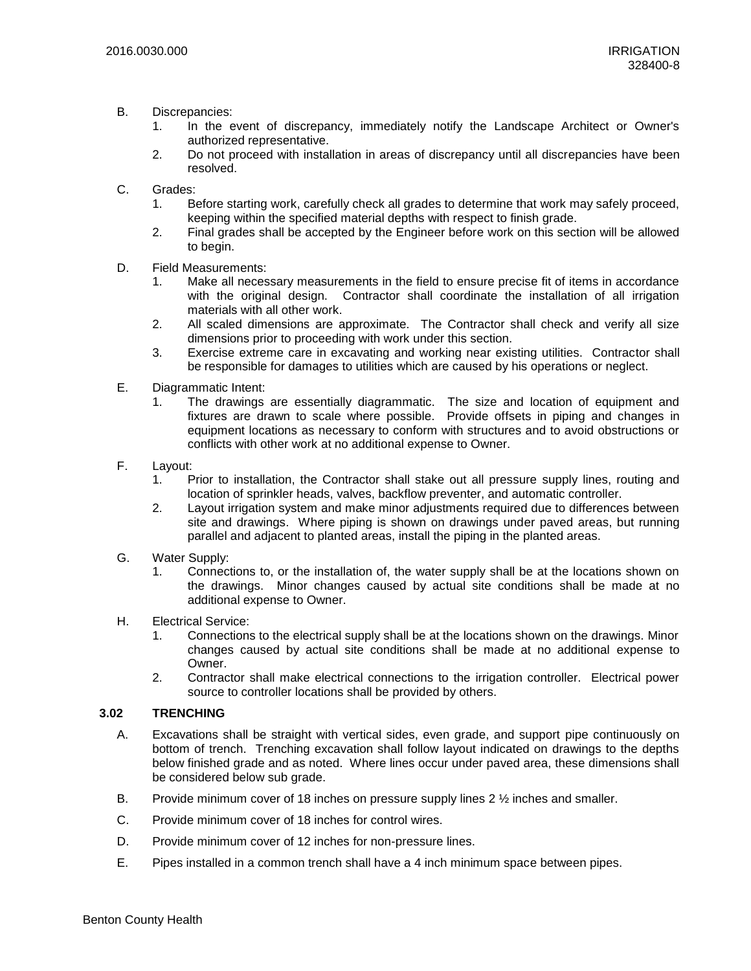- B. Discrepancies:
	- 1. In the event of discrepancy, immediately notify the Landscape Architect or Owner's authorized representative.
	- 2. Do not proceed with installation in areas of discrepancy until all discrepancies have been resolved.
- C. Grades:
	- 1. Before starting work, carefully check all grades to determine that work may safely proceed, keeping within the specified material depths with respect to finish grade.
	- 2. Final grades shall be accepted by the Engineer before work on this section will be allowed to begin.
- D. Field Measurements:
	- 1. Make all necessary measurements in the field to ensure precise fit of items in accordance with the original design. Contractor shall coordinate the installation of all irrigation materials with all other work.
	- 2. All scaled dimensions are approximate. The Contractor shall check and verify all size dimensions prior to proceeding with work under this section.
	- 3. Exercise extreme care in excavating and working near existing utilities. Contractor shall be responsible for damages to utilities which are caused by his operations or neglect.
- E. Diagrammatic Intent:
	- 1. The drawings are essentially diagrammatic. The size and location of equipment and fixtures are drawn to scale where possible. Provide offsets in piping and changes in equipment locations as necessary to conform with structures and to avoid obstructions or conflicts with other work at no additional expense to Owner.
- F. Layout:
	- 1. Prior to installation, the Contractor shall stake out all pressure supply lines, routing and location of sprinkler heads, valves, backflow preventer, and automatic controller.
	- 2. Layout irrigation system and make minor adjustments required due to differences between site and drawings. Where piping is shown on drawings under paved areas, but running parallel and adjacent to planted areas, install the piping in the planted areas.
- G. Water Supply:
	- 1. Connections to, or the installation of, the water supply shall be at the locations shown on the drawings. Minor changes caused by actual site conditions shall be made at no additional expense to Owner.
- H. Electrical Service:
	- 1. Connections to the electrical supply shall be at the locations shown on the drawings. Minor changes caused by actual site conditions shall be made at no additional expense to Owner.
	- 2. Contractor shall make electrical connections to the irrigation controller. Electrical power source to controller locations shall be provided by others.

### **3.02 TRENCHING**

- A. Excavations shall be straight with vertical sides, even grade, and support pipe continuously on bottom of trench. Trenching excavation shall follow layout indicated on drawings to the depths below finished grade and as noted. Where lines occur under paved area, these dimensions shall be considered below sub grade.
- B. Provide minimum cover of 18 inches on pressure supply lines 2  $\frac{1}{2}$  inches and smaller.
- C. Provide minimum cover of 18 inches for control wires.
- D. Provide minimum cover of 12 inches for non-pressure lines.
- E. Pipes installed in a common trench shall have a 4 inch minimum space between pipes.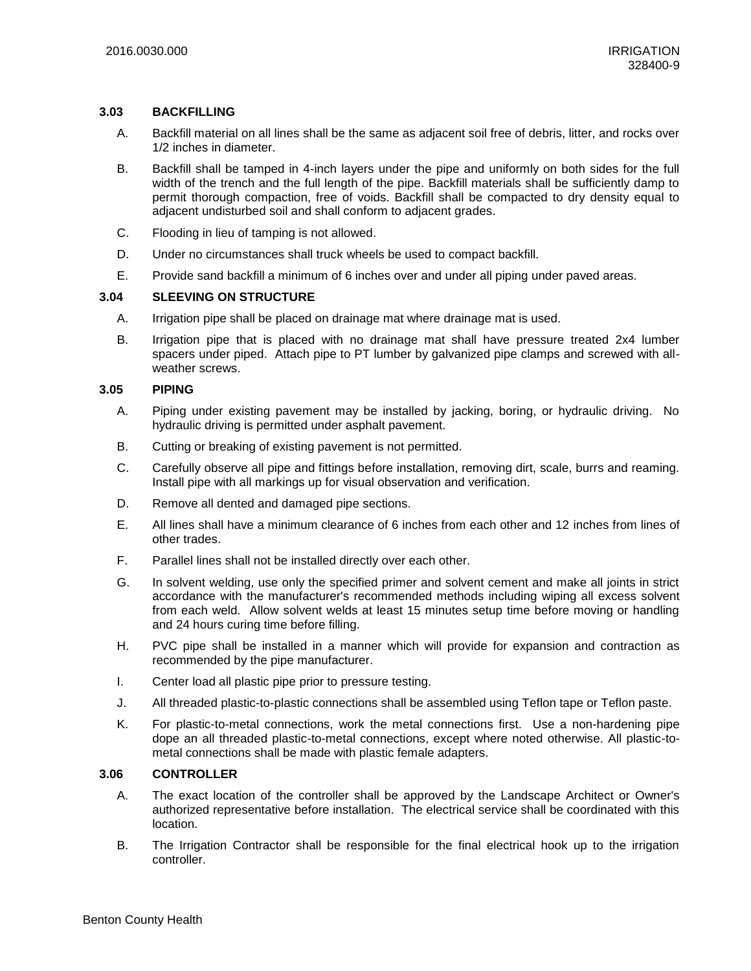#### **3.03 BACKFILLING**

- A. Backfill material on all lines shall be the same as adjacent soil free of debris, litter, and rocks over 1/2 inches in diameter.
- B. Backfill shall be tamped in 4-inch layers under the pipe and uniformly on both sides for the full width of the trench and the full length of the pipe. Backfill materials shall be sufficiently damp to permit thorough compaction, free of voids. Backfill shall be compacted to dry density equal to adjacent undisturbed soil and shall conform to adjacent grades.
- C. Flooding in lieu of tamping is not allowed.
- D. Under no circumstances shall truck wheels be used to compact backfill.
- E. Provide sand backfill a minimum of 6 inches over and under all piping under paved areas.

### **3.04 SLEEVING ON STRUCTURE**

- A. Irrigation pipe shall be placed on drainage mat where drainage mat is used.
- B. Irrigation pipe that is placed with no drainage mat shall have pressure treated 2x4 lumber spacers under piped. Attach pipe to PT lumber by galvanized pipe clamps and screwed with allweather screws.

#### **3.05 PIPING**

- A. Piping under existing pavement may be installed by jacking, boring, or hydraulic driving. No hydraulic driving is permitted under asphalt pavement.
- B. Cutting or breaking of existing pavement is not permitted.
- C. Carefully observe all pipe and fittings before installation, removing dirt, scale, burrs and reaming. Install pipe with all markings up for visual observation and verification.
- D. Remove all dented and damaged pipe sections.
- E. All lines shall have a minimum clearance of 6 inches from each other and 12 inches from lines of other trades.
- F. Parallel lines shall not be installed directly over each other.
- G. In solvent welding, use only the specified primer and solvent cement and make all joints in strict accordance with the manufacturer's recommended methods including wiping all excess solvent from each weld. Allow solvent welds at least 15 minutes setup time before moving or handling and 24 hours curing time before filling.
- H. PVC pipe shall be installed in a manner which will provide for expansion and contraction as recommended by the pipe manufacturer.
- I. Center load all plastic pipe prior to pressure testing.
- J. All threaded plastic-to-plastic connections shall be assembled using Teflon tape or Teflon paste.
- K. For plastic-to-metal connections, work the metal connections first. Use a non-hardening pipe dope an all threaded plastic-to-metal connections, except where noted otherwise. All plastic-tometal connections shall be made with plastic female adapters.

#### **3.06 CONTROLLER**

- A. The exact location of the controller shall be approved by the Landscape Architect or Owner's authorized representative before installation. The electrical service shall be coordinated with this location.
- B. The Irrigation Contractor shall be responsible for the final electrical hook up to the irrigation controller.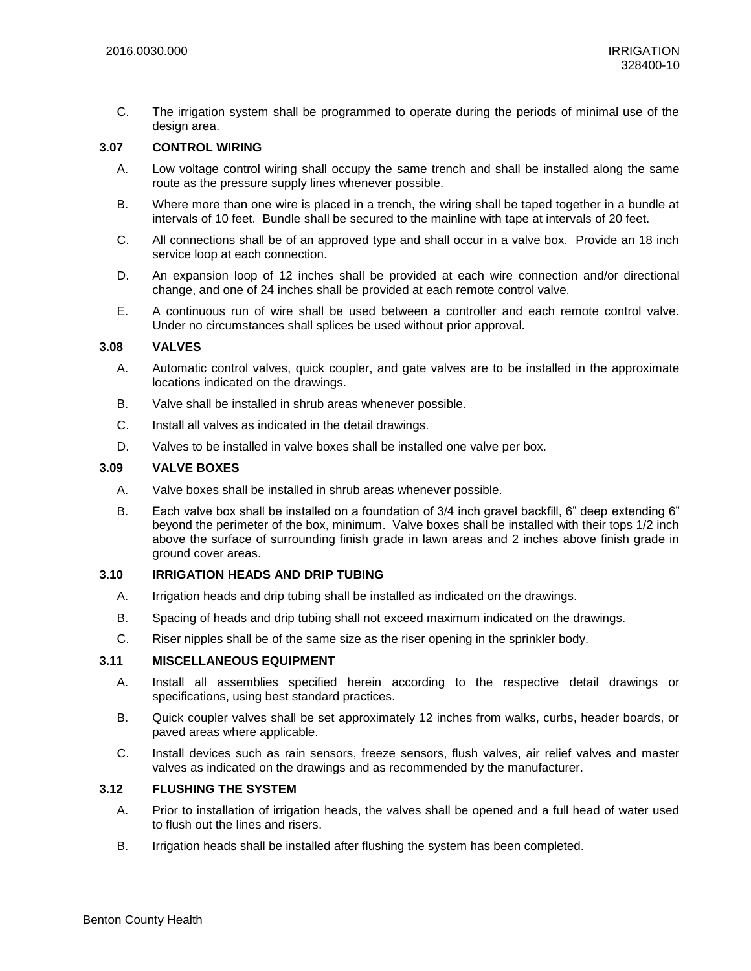C. The irrigation system shall be programmed to operate during the periods of minimal use of the design area.

### **3.07 CONTROL WIRING**

- A. Low voltage control wiring shall occupy the same trench and shall be installed along the same route as the pressure supply lines whenever possible.
- B. Where more than one wire is placed in a trench, the wiring shall be taped together in a bundle at intervals of 10 feet. Bundle shall be secured to the mainline with tape at intervals of 20 feet.
- C. All connections shall be of an approved type and shall occur in a valve box. Provide an 18 inch service loop at each connection.
- D. An expansion loop of 12 inches shall be provided at each wire connection and/or directional change, and one of 24 inches shall be provided at each remote control valve.
- E. A continuous run of wire shall be used between a controller and each remote control valve. Under no circumstances shall splices be used without prior approval.

### **3.08 VALVES**

- A. Automatic control valves, quick coupler, and gate valves are to be installed in the approximate locations indicated on the drawings.
- B. Valve shall be installed in shrub areas whenever possible.
- C. Install all valves as indicated in the detail drawings.
- D. Valves to be installed in valve boxes shall be installed one valve per box.

#### **3.09 VALVE BOXES**

- A. Valve boxes shall be installed in shrub areas whenever possible.
- B. Each valve box shall be installed on a foundation of 3/4 inch gravel backfill, 6" deep extending 6" beyond the perimeter of the box, minimum. Valve boxes shall be installed with their tops 1/2 inch above the surface of surrounding finish grade in lawn areas and 2 inches above finish grade in ground cover areas.

# **3.10 IRRIGATION HEADS AND DRIP TUBING**

- A. Irrigation heads and drip tubing shall be installed as indicated on the drawings.
- B. Spacing of heads and drip tubing shall not exceed maximum indicated on the drawings.
- C. Riser nipples shall be of the same size as the riser opening in the sprinkler body.

#### **3.11 MISCELLANEOUS EQUIPMENT**

- A. Install all assemblies specified herein according to the respective detail drawings or specifications, using best standard practices.
- B. Quick coupler valves shall be set approximately 12 inches from walks, curbs, header boards, or paved areas where applicable.
- C. Install devices such as rain sensors, freeze sensors, flush valves, air relief valves and master valves as indicated on the drawings and as recommended by the manufacturer.

### **3.12 FLUSHING THE SYSTEM**

- A. Prior to installation of irrigation heads, the valves shall be opened and a full head of water used to flush out the lines and risers.
- B. Irrigation heads shall be installed after flushing the system has been completed.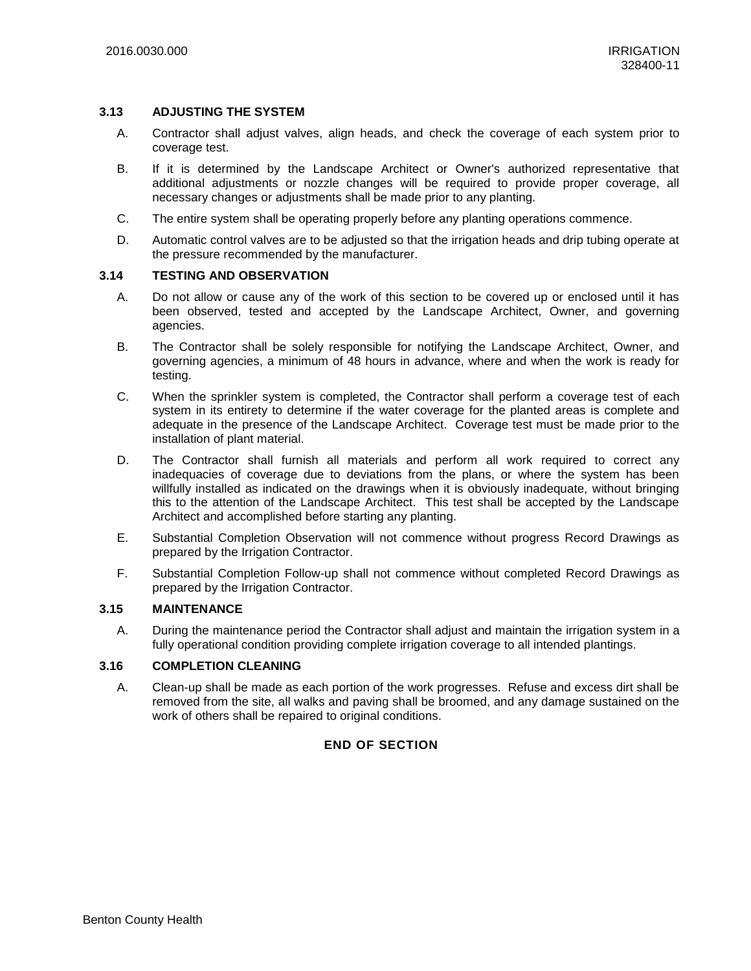#### **3.13 ADJUSTING THE SYSTEM**

- A. Contractor shall adjust valves, align heads, and check the coverage of each system prior to coverage test.
- B. If it is determined by the Landscape Architect or Owner's authorized representative that additional adjustments or nozzle changes will be required to provide proper coverage, all necessary changes or adjustments shall be made prior to any planting.
- C. The entire system shall be operating properly before any planting operations commence.
- D. Automatic control valves are to be adjusted so that the irrigation heads and drip tubing operate at the pressure recommended by the manufacturer.

### **3.14 TESTING AND OBSERVATION**

- A. Do not allow or cause any of the work of this section to be covered up or enclosed until it has been observed, tested and accepted by the Landscape Architect, Owner, and governing agencies.
- B. The Contractor shall be solely responsible for notifying the Landscape Architect, Owner, and governing agencies, a minimum of 48 hours in advance, where and when the work is ready for testing.
- C. When the sprinkler system is completed, the Contractor shall perform a coverage test of each system in its entirety to determine if the water coverage for the planted areas is complete and adequate in the presence of the Landscape Architect. Coverage test must be made prior to the installation of plant material.
- D. The Contractor shall furnish all materials and perform all work required to correct any inadequacies of coverage due to deviations from the plans, or where the system has been willfully installed as indicated on the drawings when it is obviously inadequate, without bringing this to the attention of the Landscape Architect. This test shall be accepted by the Landscape Architect and accomplished before starting any planting.
- E. Substantial Completion Observation will not commence without progress Record Drawings as prepared by the Irrigation Contractor.
- F. Substantial Completion Follow-up shall not commence without completed Record Drawings as prepared by the Irrigation Contractor.

### **3.15 MAINTENANCE**

A. During the maintenance period the Contractor shall adjust and maintain the irrigation system in a fully operational condition providing complete irrigation coverage to all intended plantings.

### **3.16 COMPLETION CLEANING**

A. Clean-up shall be made as each portion of the work progresses. Refuse and excess dirt shall be removed from the site, all walks and paving shall be broomed, and any damage sustained on the work of others shall be repaired to original conditions.

# **END OF SECTION**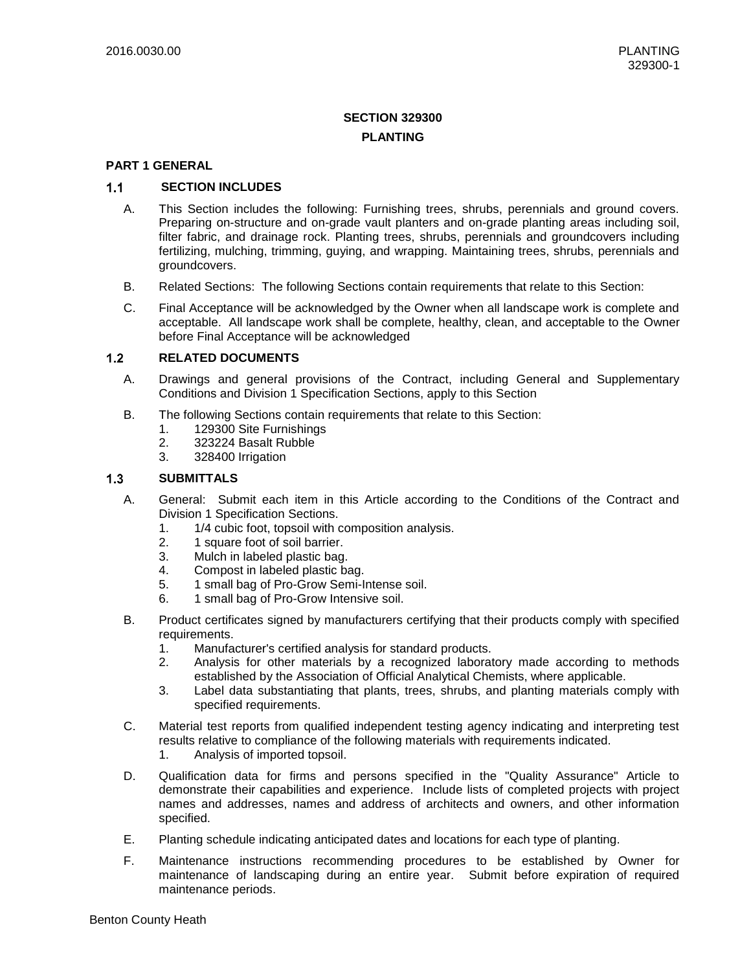# **SECTION 329300 PLANTING**

### **PART 1 GENERAL**

#### $1.1$ **SECTION INCLUDES**

- A. This Section includes the following: Furnishing trees, shrubs, perennials and ground covers. Preparing on-structure and on-grade vault planters and on-grade planting areas including soil, filter fabric, and drainage rock. Planting trees, shrubs, perennials and groundcovers including fertilizing, mulching, trimming, guying, and wrapping. Maintaining trees, shrubs, perennials and groundcovers.
- B. Related Sections: The following Sections contain requirements that relate to this Section:
- C. Final Acceptance will be acknowledged by the Owner when all landscape work is complete and acceptable. All landscape work shall be complete, healthy, clean, and acceptable to the Owner before Final Acceptance will be acknowledged

#### $1.2$ **RELATED DOCUMENTS**

- A. Drawings and general provisions of the Contract, including General and Supplementary Conditions and Division 1 Specification Sections, apply to this Section
- B. The following Sections contain requirements that relate to this Section:
	- 1. 129300 Site Furnishings
	- 2. 323224 Basalt Rubble
	- 3. 328400 Irrigation

#### $1.3$ **SUBMITTALS**

- A. General: Submit each item in this Article according to the Conditions of the Contract and Division 1 Specification Sections.
	- 1. 1/4 cubic foot, topsoil with composition analysis.
	- 2. 1 square foot of soil barrier.
	- 3. Mulch in labeled plastic bag.
	- 4. Compost in labeled plastic bag.
	- 5. 1 small bag of Pro-Grow Semi-Intense soil.
	- 6. 1 small bag of Pro-Grow Intensive soil.
- B. Product certificates signed by manufacturers certifying that their products comply with specified requirements.
	- 1. Manufacturer's certified analysis for standard products.
	- 2. Analysis for other materials by a recognized laboratory made according to methods established by the Association of Official Analytical Chemists, where applicable.
	- 3. Label data substantiating that plants, trees, shrubs, and planting materials comply with specified requirements.
- C. Material test reports from qualified independent testing agency indicating and interpreting test results relative to compliance of the following materials with requirements indicated.
	- 1. Analysis of imported topsoil.
- D. Qualification data for firms and persons specified in the "Quality Assurance" Article to demonstrate their capabilities and experience. Include lists of completed projects with project names and addresses, names and address of architects and owners, and other information specified.
- E. Planting schedule indicating anticipated dates and locations for each type of planting.
- F. Maintenance instructions recommending procedures to be established by Owner for maintenance of landscaping during an entire year. Submit before expiration of required maintenance periods.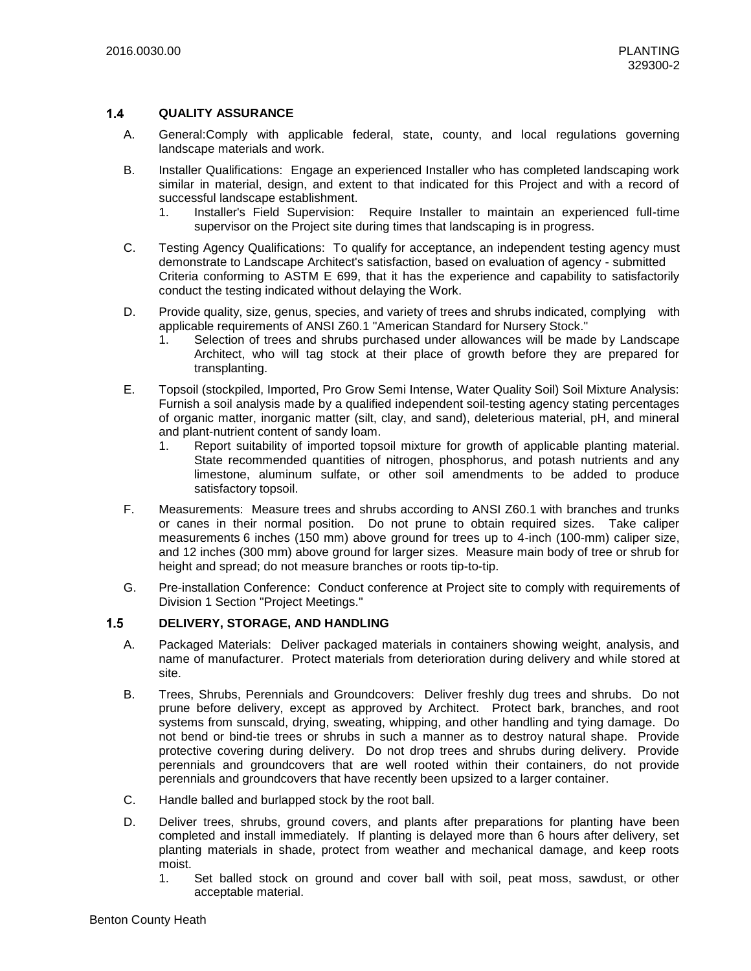#### $1.4$ **QUALITY ASSURANCE**

- A. General:Comply with applicable federal, state, county, and local regulations governing landscape materials and work.
- B. Installer Qualifications: Engage an experienced Installer who has completed landscaping work similar in material, design, and extent to that indicated for this Project and with a record of successful landscape establishment.
	- 1. Installer's Field Supervision: Require Installer to maintain an experienced full-time supervisor on the Project site during times that landscaping is in progress.
- C. Testing Agency Qualifications: To qualify for acceptance, an independent testing agency must demonstrate to Landscape Architect's satisfaction, based on evaluation of agency - submitted Criteria conforming to ASTM E 699, that it has the experience and capability to satisfactorily conduct the testing indicated without delaying the Work.
- D. Provide quality, size, genus, species, and variety of trees and shrubs indicated, complying with applicable requirements of ANSI Z60.1 "American Standard for Nursery Stock."
	- 1. Selection of trees and shrubs purchased under allowances will be made by Landscape Architect, who will tag stock at their place of growth before they are prepared for transplanting.
- E. Topsoil (stockpiled, Imported, Pro Grow Semi Intense, Water Quality Soil) Soil Mixture Analysis: Furnish a soil analysis made by a qualified independent soil-testing agency stating percentages of organic matter, inorganic matter (silt, clay, and sand), deleterious material, pH, and mineral and plant-nutrient content of sandy loam.
	- 1. Report suitability of imported topsoil mixture for growth of applicable planting material. State recommended quantities of nitrogen, phosphorus, and potash nutrients and any limestone, aluminum sulfate, or other soil amendments to be added to produce satisfactory topsoil.
- F. Measurements: Measure trees and shrubs according to ANSI Z60.1 with branches and trunks or canes in their normal position. Do not prune to obtain required sizes. Take caliper measurements 6 inches (150 mm) above ground for trees up to 4-inch (100-mm) caliper size, and 12 inches (300 mm) above ground for larger sizes. Measure main body of tree or shrub for height and spread; do not measure branches or roots tip-to-tip.
- G. Pre-installation Conference: Conduct conference at Project site to comply with requirements of Division 1 Section "Project Meetings."

#### $1.5$ **DELIVERY, STORAGE, AND HANDLING**

- A. Packaged Materials: Deliver packaged materials in containers showing weight, analysis, and name of manufacturer. Protect materials from deterioration during delivery and while stored at site.
- B. Trees, Shrubs, Perennials and Groundcovers: Deliver freshly dug trees and shrubs. Do not prune before delivery, except as approved by Architect. Protect bark, branches, and root systems from sunscald, drying, sweating, whipping, and other handling and tying damage. Do not bend or bind-tie trees or shrubs in such a manner as to destroy natural shape. Provide protective covering during delivery. Do not drop trees and shrubs during delivery. Provide perennials and groundcovers that are well rooted within their containers, do not provide perennials and groundcovers that have recently been upsized to a larger container.
- C. Handle balled and burlapped stock by the root ball.
- D. Deliver trees, shrubs, ground covers, and plants after preparations for planting have been completed and install immediately. If planting is delayed more than 6 hours after delivery, set planting materials in shade, protect from weather and mechanical damage, and keep roots moist.
	- 1. Set balled stock on ground and cover ball with soil, peat moss, sawdust, or other acceptable material.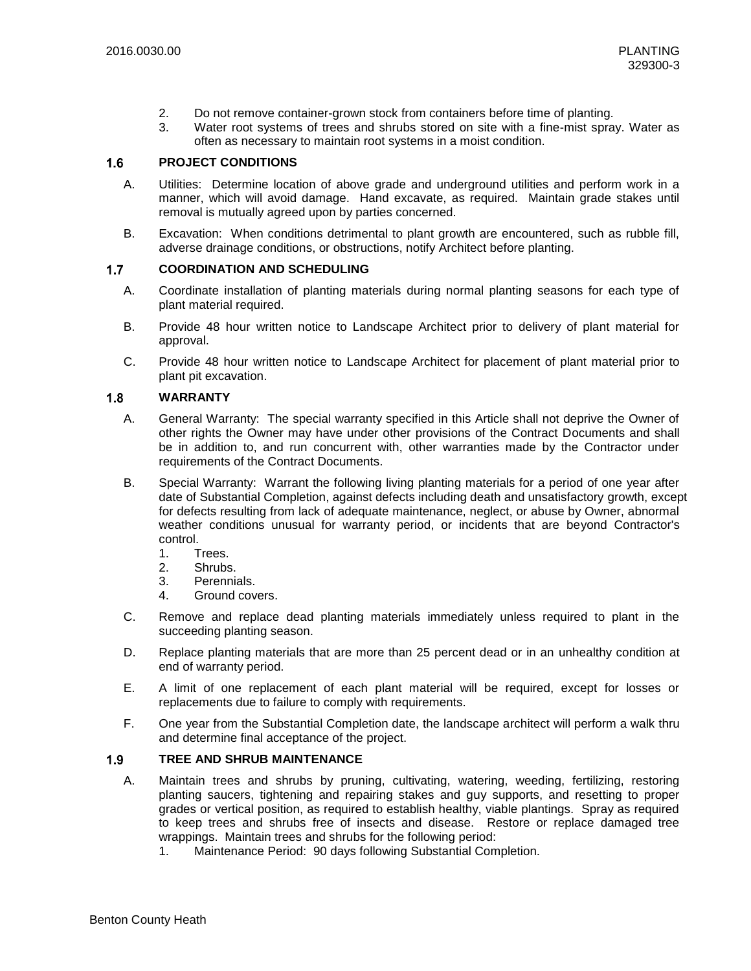- 2. Do not remove container-grown stock from containers before time of planting.
- 3. Water root systems of trees and shrubs stored on site with a fine-mist spray. Water as often as necessary to maintain root systems in a moist condition.

#### $1.6$ **PROJECT CONDITIONS**

- A. Utilities: Determine location of above grade and underground utilities and perform work in a manner, which will avoid damage. Hand excavate, as required. Maintain grade stakes until removal is mutually agreed upon by parties concerned.
- B. Excavation: When conditions detrimental to plant growth are encountered, such as rubble fill, adverse drainage conditions, or obstructions, notify Architect before planting.

#### $1.7$ **COORDINATION AND SCHEDULING**

- A. Coordinate installation of planting materials during normal planting seasons for each type of plant material required.
- B. Provide 48 hour written notice to Landscape Architect prior to delivery of plant material for approval.
- C. Provide 48 hour written notice to Landscape Architect for placement of plant material prior to plant pit excavation.

#### **WARRANTY**  $1.8$

- A. General Warranty: The special warranty specified in this Article shall not deprive the Owner of other rights the Owner may have under other provisions of the Contract Documents and shall be in addition to, and run concurrent with, other warranties made by the Contractor under requirements of the Contract Documents.
- B. Special Warranty: Warrant the following living planting materials for a period of one year after date of Substantial Completion, against defects including death and unsatisfactory growth, except for defects resulting from lack of adequate maintenance, neglect, or abuse by Owner, abnormal weather conditions unusual for warranty period, or incidents that are beyond Contractor's control.
	- 1. Trees.
	- 2. Shrubs.
	- 3. Perennials.
	- 4. Ground covers.
- C. Remove and replace dead planting materials immediately unless required to plant in the succeeding planting season.
- D. Replace planting materials that are more than 25 percent dead or in an unhealthy condition at end of warranty period.
- E. A limit of one replacement of each plant material will be required, except for losses or replacements due to failure to comply with requirements.
- F. One year from the Substantial Completion date, the landscape architect will perform a walk thru and determine final acceptance of the project.

#### $1.9$ **TREE AND SHRUB MAINTENANCE**

- A. Maintain trees and shrubs by pruning, cultivating, watering, weeding, fertilizing, restoring planting saucers, tightening and repairing stakes and guy supports, and resetting to proper grades or vertical position, as required to establish healthy, viable plantings. Spray as required to keep trees and shrubs free of insects and disease. Restore or replace damaged tree wrappings. Maintain trees and shrubs for the following period:
	- 1. Maintenance Period: 90 days following Substantial Completion.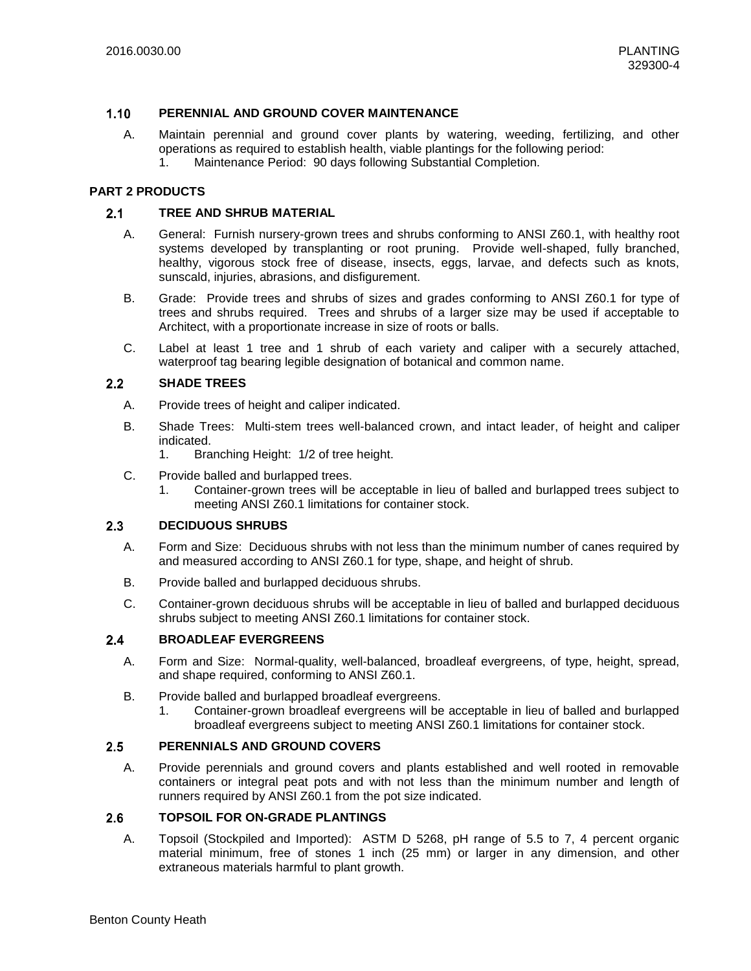#### $1.10$ **PERENNIAL AND GROUND COVER MAINTENANCE**

- A. Maintain perennial and ground cover plants by watering, weeding, fertilizing, and other operations as required to establish health, viable plantings for the following period:
	- 1. Maintenance Period: 90 days following Substantial Completion.

### **PART 2 PRODUCTS**

#### $2.1$ **TREE AND SHRUB MATERIAL**

- A. General: Furnish nursery-grown trees and shrubs conforming to ANSI Z60.1, with healthy root systems developed by transplanting or root pruning. Provide well-shaped, fully branched, healthy, vigorous stock free of disease, insects, eggs, larvae, and defects such as knots, sunscald, injuries, abrasions, and disfigurement.
- B. Grade: Provide trees and shrubs of sizes and grades conforming to ANSI Z60.1 for type of trees and shrubs required. Trees and shrubs of a larger size may be used if acceptable to Architect, with a proportionate increase in size of roots or balls.
- C. Label at least 1 tree and 1 shrub of each variety and caliper with a securely attached, waterproof tag bearing legible designation of botanical and common name.

#### $2.2$ **SHADE TREES**

- A. Provide trees of height and caliper indicated.
- B. Shade Trees: Multi-stem trees well-balanced crown, and intact leader, of height and caliper indicated.
	- 1. Branching Height: 1/2 of tree height.
- C. Provide balled and burlapped trees.
	- 1. Container-grown trees will be acceptable in lieu of balled and burlapped trees subject to meeting ANSI Z60.1 limitations for container stock.

#### $2.3$ **DECIDUOUS SHRUBS**

- A. Form and Size: Deciduous shrubs with not less than the minimum number of canes required by and measured according to ANSI Z60.1 for type, shape, and height of shrub.
- B. Provide balled and burlapped deciduous shrubs.
- C. Container-grown deciduous shrubs will be acceptable in lieu of balled and burlapped deciduous shrubs subject to meeting ANSI Z60.1 limitations for container stock.

#### $2.4$ **BROADLEAF EVERGREENS**

- A. Form and Size: Normal-quality, well-balanced, broadleaf evergreens, of type, height, spread, and shape required, conforming to ANSI Z60.1.
- B. Provide balled and burlapped broadleaf evergreens.
	- 1. Container-grown broadleaf evergreens will be acceptable in lieu of balled and burlapped broadleaf evergreens subject to meeting ANSI Z60.1 limitations for container stock.

#### $2.5$ **PERENNIALS AND GROUND COVERS**

A. Provide perennials and ground covers and plants established and well rooted in removable containers or integral peat pots and with not less than the minimum number and length of runners required by ANSI Z60.1 from the pot size indicated.

#### $2.6$ **TOPSOIL FOR ON-GRADE PLANTINGS**

A. Topsoil (Stockpiled and Imported): ASTM D 5268, pH range of 5.5 to 7, 4 percent organic material minimum, free of stones 1 inch (25 mm) or larger in any dimension, and other extraneous materials harmful to plant growth.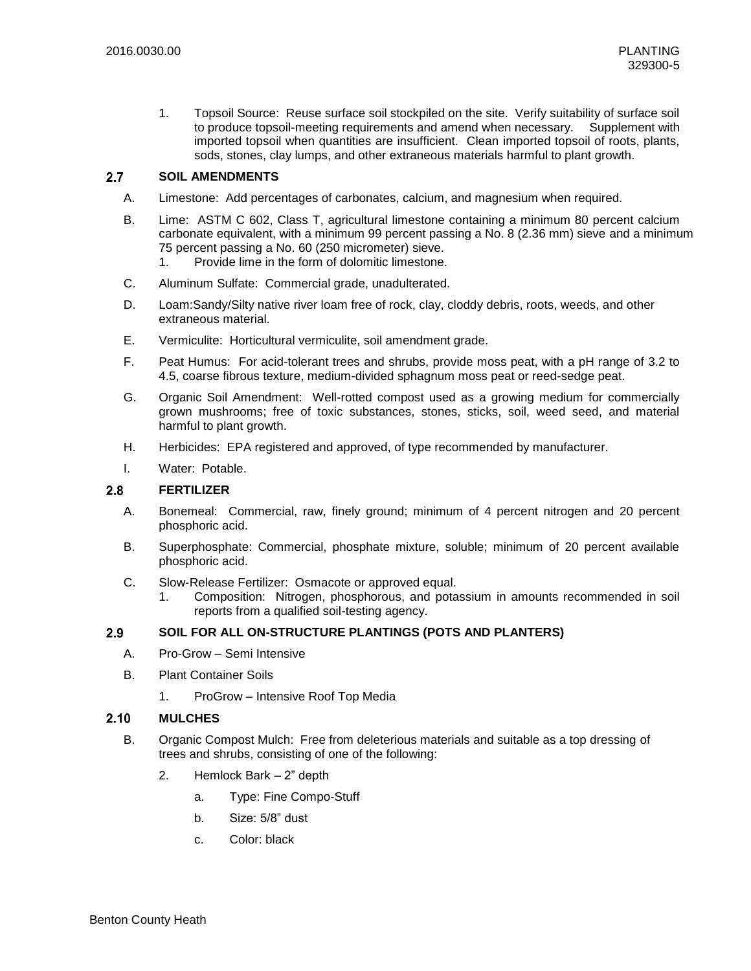1. Topsoil Source: Reuse surface soil stockpiled on the site. Verify suitability of surface soil to produce topsoil-meeting requirements and amend when necessary. Supplement with imported topsoil when quantities are insufficient. Clean imported topsoil of roots, plants, sods, stones, clay lumps, and other extraneous materials harmful to plant growth.

#### $2.7$ **SOIL AMENDMENTS**

- A. Limestone: Add percentages of carbonates, calcium, and magnesium when required.
- B. Lime: ASTM C 602, Class T, agricultural limestone containing a minimum 80 percent calcium carbonate equivalent, with a minimum 99 percent passing a No. 8 (2.36 mm) sieve and a minimum 75 percent passing a No. 60 (250 micrometer) sieve.
	- 1. Provide lime in the form of dolomitic limestone.
- C. Aluminum Sulfate: Commercial grade, unadulterated.
- D. Loam:Sandy/Silty native river loam free of rock, clay, cloddy debris, roots, weeds, and other extraneous material.
- E. Vermiculite: Horticultural vermiculite, soil amendment grade.
- F. Peat Humus: For acid-tolerant trees and shrubs, provide moss peat, with a pH range of 3.2 to 4.5, coarse fibrous texture, medium-divided sphagnum moss peat or reed-sedge peat.
- G. Organic Soil Amendment: Well-rotted compost used as a growing medium for commercially grown mushrooms; free of toxic substances, stones, sticks, soil, weed seed, and material harmful to plant growth.
- H. Herbicides: EPA registered and approved, of type recommended by manufacturer.
- I. Water: Potable.

#### $2.8$ **FERTILIZER**

- A. Bonemeal: Commercial, raw, finely ground; minimum of 4 percent nitrogen and 20 percent phosphoric acid.
- B. Superphosphate: Commercial, phosphate mixture, soluble; minimum of 20 percent available phosphoric acid.
- C. Slow-Release Fertilizer: Osmacote or approved equal.
	- 1. Composition: Nitrogen, phosphorous, and potassium in amounts recommended in soil reports from a qualified soil-testing agency.

#### $2.9$ **SOIL FOR ALL ON-STRUCTURE PLANTINGS (POTS AND PLANTERS)**

- A. Pro-Grow Semi Intensive
- B. Plant Container Soils
	- 1. ProGrow Intensive Roof Top Media

#### $2.10$ **MULCHES**

- B. Organic Compost Mulch: Free from deleterious materials and suitable as a top dressing of trees and shrubs, consisting of one of the following:
	- 2. Hemlock Bark 2" depth
		- a. Type: Fine Compo-Stuff
		- b. Size: 5/8" dust
		- c. Color: black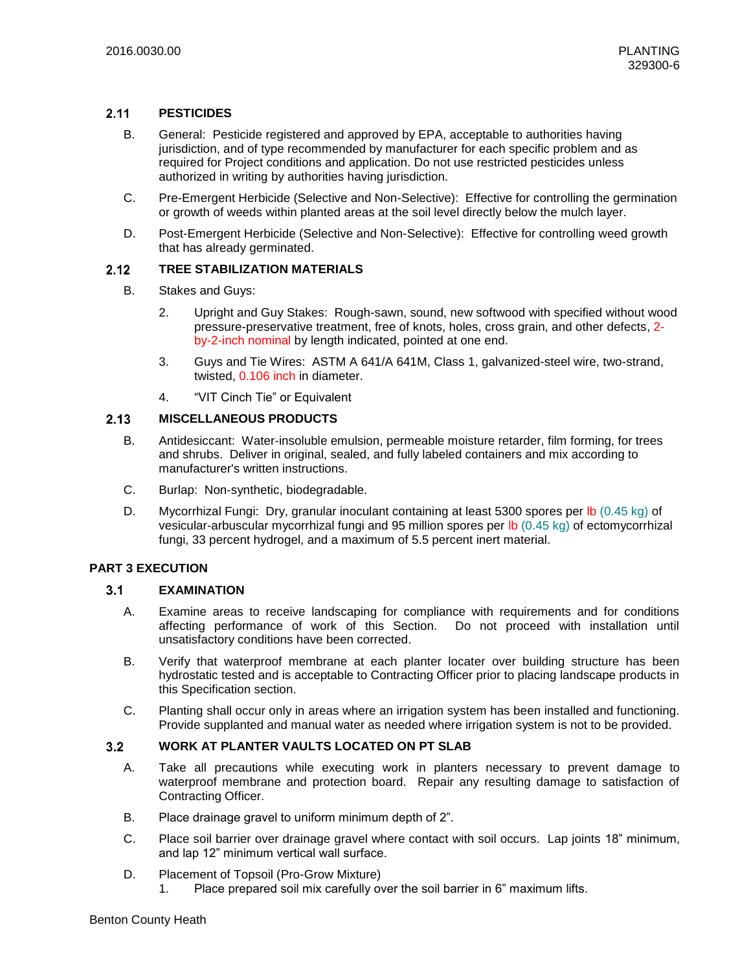#### $2.11$ **PESTICIDES**

- B. General: Pesticide registered and approved by EPA, acceptable to authorities having jurisdiction, and of type recommended by manufacturer for each specific problem and as required for Project conditions and application. Do not use restricted pesticides unless authorized in writing by authorities having jurisdiction.
- C. Pre-Emergent Herbicide (Selective and Non-Selective): Effective for controlling the germination or growth of weeds within planted areas at the soil level directly below the mulch layer.
- D. Post-Emergent Herbicide (Selective and Non-Selective): Effective for controlling weed growth that has already germinated.

#### $2.12$ **TREE STABILIZATION MATERIALS**

- B. Stakes and Guys:
	- 2. Upright and Guy Stakes: Rough-sawn, sound, new softwood with specified without wood pressure-preservative treatment, free of knots, holes, cross grain, and other defects, 2 by-2-inch nominal by length indicated, pointed at one end.
	- 3. Guys and Tie Wires: ASTM A 641/A 641M, Class 1, galvanized-steel wire, two-strand, twisted, 0.106 inch in diameter.
	- 4. "VIT Cinch Tie" or Equivalent

#### **MISCELLANEOUS PRODUCTS**  $2.13$

- B. Antidesiccant: Water-insoluble emulsion, permeable moisture retarder, film forming, for trees and shrubs. Deliver in original, sealed, and fully labeled containers and mix according to manufacturer's written instructions.
- C. Burlap: Non-synthetic, biodegradable.
- D. Mycorrhizal Fungi: Dry, granular inoculant containing at least 5300 spores per lb (0.45 kg) of vesicular-arbuscular mycorrhizal fungi and 95 million spores per lb (0.45 kg) of ectomycorrhizal fungi, 33 percent hydrogel, and a maximum of 5.5 percent inert material.

### **PART 3 EXECUTION**

#### $3.1$ **EXAMINATION**

- A. Examine areas to receive landscaping for compliance with requirements and for conditions affecting performance of work of this Section. Do not proceed with installation until unsatisfactory conditions have been corrected.
- B. Verify that waterproof membrane at each planter locater over building structure has been hydrostatic tested and is acceptable to Contracting Officer prior to placing landscape products in this Specification section.
- C. Planting shall occur only in areas where an irrigation system has been installed and functioning. Provide supplanted and manual water as needed where irrigation system is not to be provided.

#### $3.2$ **WORK AT PLANTER VAULTS LOCATED ON PT SLAB**

- A. Take all precautions while executing work in planters necessary to prevent damage to waterproof membrane and protection board. Repair any resulting damage to satisfaction of Contracting Officer.
- B. Place drainage gravel to uniform minimum depth of 2".
- C. Place soil barrier over drainage gravel where contact with soil occurs. Lap joints 18" minimum, and lap 12" minimum vertical wall surface.
- D. Placement of Topsoil (Pro-Grow Mixture)
	- 1. Place prepared soil mix carefully over the soil barrier in 6" maximum lifts.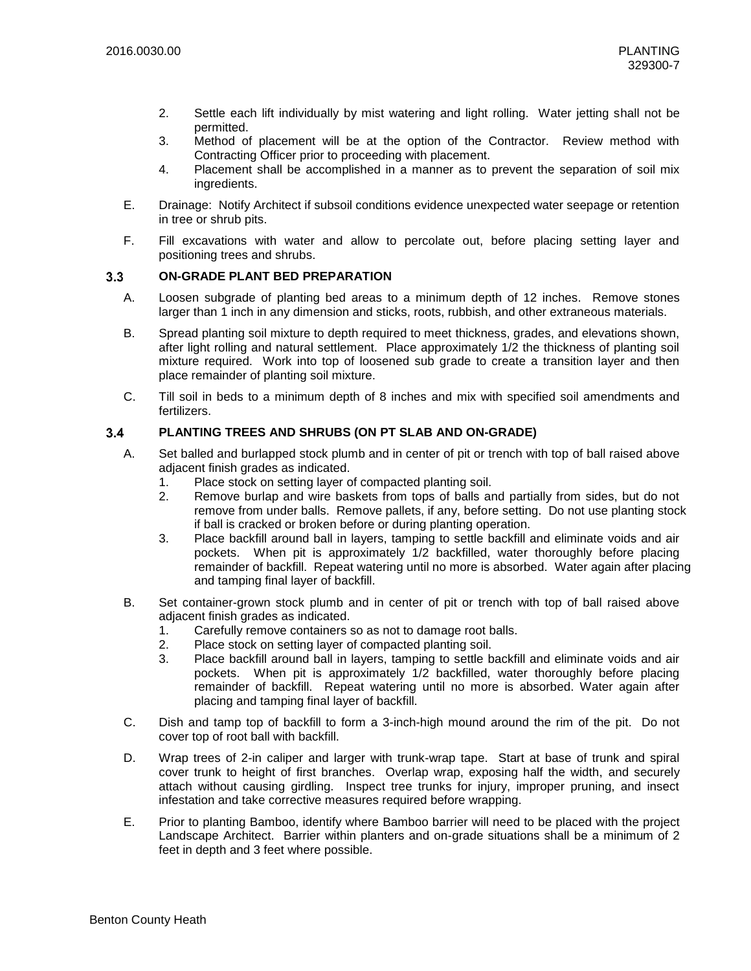- 2. Settle each lift individually by mist watering and light rolling. Water jetting shall not be permitted.
- 3. Method of placement will be at the option of the Contractor. Review method with Contracting Officer prior to proceeding with placement.
- 4. Placement shall be accomplished in a manner as to prevent the separation of soil mix ingredients.
- E. Drainage: Notify Architect if subsoil conditions evidence unexpected water seepage or retention in tree or shrub pits.
- F. Fill excavations with water and allow to percolate out, before placing setting layer and positioning trees and shrubs.

#### **ON-GRADE PLANT BED PREPARATION**  $3.3$

- A. Loosen subgrade of planting bed areas to a minimum depth of 12 inches. Remove stones larger than 1 inch in any dimension and sticks, roots, rubbish, and other extraneous materials.
- B. Spread planting soil mixture to depth required to meet thickness, grades, and elevations shown, after light rolling and natural settlement. Place approximately 1/2 the thickness of planting soil mixture required. Work into top of loosened sub grade to create a transition layer and then place remainder of planting soil mixture.
- C. Till soil in beds to a minimum depth of 8 inches and mix with specified soil amendments and fertilizers.

#### **PLANTING TREES AND SHRUBS (ON PT SLAB AND ON-GRADE)**  $3.4$

- A. Set balled and burlapped stock plumb and in center of pit or trench with top of ball raised above adjacent finish grades as indicated.
	- 1. Place stock on setting layer of compacted planting soil.
	- 2. Remove burlap and wire baskets from tops of balls and partially from sides, but do not remove from under balls. Remove pallets, if any, before setting. Do not use planting stock if ball is cracked or broken before or during planting operation.
	- 3. Place backfill around ball in layers, tamping to settle backfill and eliminate voids and air pockets. When pit is approximately 1/2 backfilled, water thoroughly before placing remainder of backfill. Repeat watering until no more is absorbed. Water again after placing and tamping final layer of backfill.
- B. Set container-grown stock plumb and in center of pit or trench with top of ball raised above adjacent finish grades as indicated.
	- 1. Carefully remove containers so as not to damage root balls.
	- 2. Place stock on setting layer of compacted planting soil.
	- 3. Place backfill around ball in layers, tamping to settle backfill and eliminate voids and air pockets. When pit is approximately 1/2 backfilled, water thoroughly before placing remainder of backfill. Repeat watering until no more is absorbed. Water again after placing and tamping final layer of backfill.
- C. Dish and tamp top of backfill to form a 3-inch-high mound around the rim of the pit. Do not cover top of root ball with backfill.
- D. Wrap trees of 2-in caliper and larger with trunk-wrap tape. Start at base of trunk and spiral cover trunk to height of first branches. Overlap wrap, exposing half the width, and securely attach without causing girdling. Inspect tree trunks for injury, improper pruning, and insect infestation and take corrective measures required before wrapping.
- E. Prior to planting Bamboo, identify where Bamboo barrier will need to be placed with the project Landscape Architect. Barrier within planters and on-grade situations shall be a minimum of 2 feet in depth and 3 feet where possible.